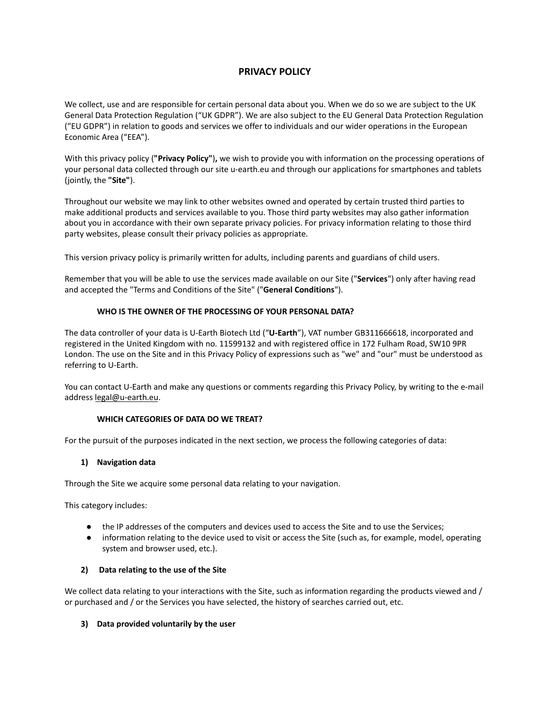# **PRIVACY POLICY**

We collect, use and are responsible for certain personal data about you. When we do so we are subject to the UK General Data Protection Regulation ("UK GDPR"). We are also subject to the EU General Data Protection Regulation ("EU GDPR") in relation to goods and services we offer to individuals and our wider operations in the European Economic Area ("EEA").

With this privacy policy (**"Privacy Policy"**)**,** we wish to provide you with information on the processing operations of your personal data collected through our site u-earth.eu and through our applications for smartphones and tablets (jointly, the **"Site"**).

Throughout our website we may link to other websites owned and operated by certain trusted third parties to make additional products and services available to you. Those third party websites may also gather information about you in accordance with their own separate privacy policies. For privacy information relating to those third party websites, please consult their privacy policies as appropriate.

This version privacy policy is primarily written for adults, including parents and guardians of child users.

Remember that you will be able to use the services made available on our Site ("**Services**") only after having read and accepted the "Terms and Conditions of the Site" ("**General Conditions**").

## **WHO IS THE OWNER OF THE PROCESSING OF YOUR PERSONAL DATA?**

The data controller of your data is U-Earth Biotech Ltd ("**U-Earth**"), VAT number GB311666618, incorporated and registered in the United Kingdom with no. 11599132 and with registered office in 172 Fulham Road, SW10 9PR London. The use on the Site and in this Privacy Policy of expressions such as "we" and "our" must be understood as referring to U-Earth.

You can contact U-Earth and make any questions or comments regarding this Privacy Policy, by writing to the e-mail address [legal@u-earth.eu](mailto:legal@u-earth.eu).

#### **WHICH CATEGORIES OF DATA DO WE TREAT?**

For the pursuit of the purposes indicated in the next section, we process the following categories of data:

#### **1) Navigation data**

Through the Site we acquire some personal data relating to your navigation.

This category includes:

- the IP addresses of the computers and devices used to access the Site and to use the Services;
- information relating to the device used to visit or access the Site (such as, for example, model, operating system and browser used, etc.).

#### **2) Data relating to the use of the Site**

We collect data relating to your interactions with the Site, such as information regarding the products viewed and / or purchased and / or the Services you have selected, the history of searches carried out, etc.

## **3) Data provided voluntarily by the user**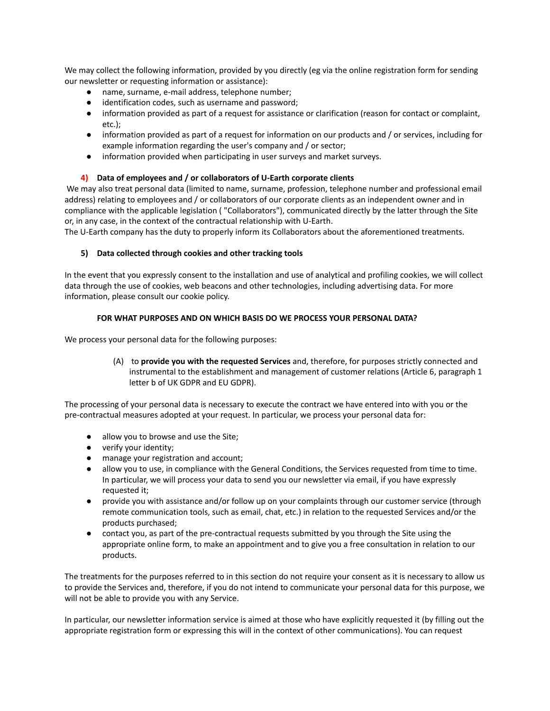We may collect the following information, provided by you directly (eg via the online registration form for sending our newsletter or requesting information or assistance):

- name, surname, e-mail address, telephone number;
- identification codes, such as username and password;
- information provided as part of a request for assistance or clarification (reason for contact or complaint, etc.);
- information provided as part of a request for information on our products and / or services, including for example information regarding the user's company and / or sector;
- information provided when participating in user surveys and market surveys.

## **4) Data of employees and / or collaborators of U-Earth corporate clients**

We may also treat personal data (limited to name, surname, profession, telephone number and professional email address) relating to employees and / or collaborators of our corporate clients as an independent owner and in compliance with the applicable legislation ( "Collaborators"), communicated directly by the latter through the Site or, in any case, in the context of the contractual relationship with U-Earth.

The U-Earth company has the duty to properly inform its Collaborators about the aforementioned treatments.

## **5) Data collected through cookies and other tracking tools**

In the event that you expressly consent to the installation and use of analytical and profiling cookies, we will collect data through the use of cookies, web beacons and other technologies, including advertising data. For more information, please consult our cookie policy.

## **FOR WHAT PURPOSES AND ON WHICH BASIS DO WE PROCESS YOUR PERSONAL DATA?**

We process your personal data for the following purposes:

(A) to **provide you with the requested Services** and, therefore, for purposes strictly connected and instrumental to the establishment and management of customer relations (Article 6, paragraph 1 letter b of UK GDPR and EU GDPR).

The processing of your personal data is necessary to execute the contract we have entered into with you or the pre-contractual measures adopted at your request. In particular, we process your personal data for:

- allow you to browse and use the Site;
- verify your identity;
- manage your registration and account;
- allow you to use, in compliance with the General Conditions, the Services requested from time to time. In particular, we will process your data to send you our newsletter via email, if you have expressly requested it;
- provide you with assistance and/or follow up on your complaints through our customer service (through remote communication tools, such as email, chat, etc.) in relation to the requested Services and/or the products purchased;
- contact you, as part of the pre-contractual requests submitted by you through the Site using the appropriate online form, to make an appointment and to give you a free consultation in relation to our products.

The treatments for the purposes referred to in this section do not require your consent as it is necessary to allow us to provide the Services and, therefore, if you do not intend to communicate your personal data for this purpose, we will not be able to provide you with any Service.

In particular, our newsletter information service is aimed at those who have explicitly requested it (by filling out the appropriate registration form or expressing this will in the context of other communications). You can request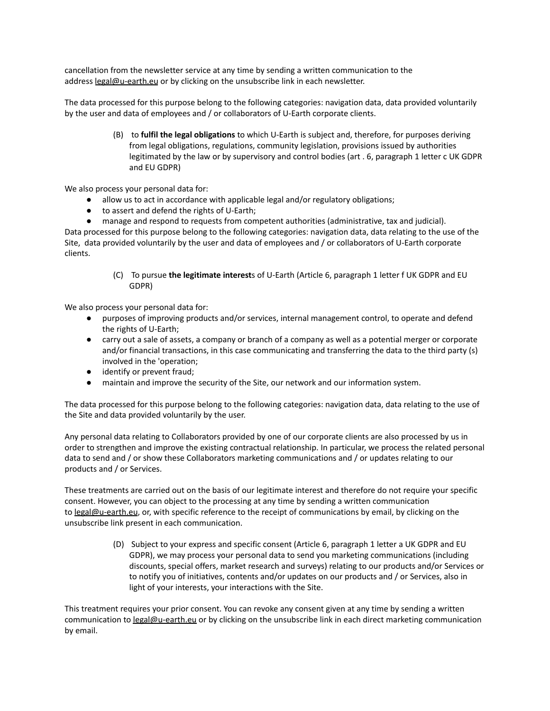cancellation from the newsletter service at any time by sending a written communication to the address [legal@u-earth.eu](mailto:legal@u-earth.eu) or by clicking on the unsubscribe link in each newsletter.

The data processed for this purpose belong to the following categories: navigation data, data provided voluntarily by the user and data of employees and / or collaborators of U-Earth corporate clients.

> (B) to **fulfil the legal obligations** to which U-Earth is subject and, therefore, for purposes deriving from legal obligations, regulations, community legislation, provisions issued by authorities legitimated by the law or by supervisory and control bodies (art . 6, paragraph 1 letter c UK GDPR and EU GDPR)

We also process your personal data for:

- allow us to act in accordance with applicable legal and/or regulatory obligations;
- to assert and defend the rights of U-Earth;

● manage and respond to requests from competent authorities (administrative, tax and judicial). Data processed for this purpose belong to the following categories: navigation data, data relating to the use of the Site, data provided voluntarily by the user and data of employees and / or collaborators of U-Earth corporate clients.

> (C) To pursue **the legitimate interest**s of U-Earth (Article 6, paragraph 1 letter f UK GDPR and EU GDPR)

We also process your personal data for:

- purposes of improving products and/or services, internal management control, to operate and defend the rights of U-Earth;
- carry out a sale of assets, a company or branch of a company as well as a potential merger or corporate and/or financial transactions, in this case communicating and transferring the data to the third party (s) involved in the 'operation;
- identify or prevent fraud;
- maintain and improve the security of the Site, our network and our information system.

The data processed for this purpose belong to the following categories: navigation data, data relating to the use of the Site and data provided voluntarily by the user.

Any personal data relating to Collaborators provided by one of our corporate clients are also processed by us in order to strengthen and improve the existing contractual relationship. In particular, we process the related personal data to send and / or show these Collaborators marketing communications and / or updates relating to our products and / or Services.

These treatments are carried out on the basis of our legitimate interest and therefore do not require your specific consent. However, you can object to the processing at any time by sending a written communication to [legal@u-earth.eu](mailto:legal@u-earth.eu), or, with specific reference to the receipt of communications by email, by clicking on the unsubscribe link present in each communication.

> (D) Subject to your express and specific consent (Article 6, paragraph 1 letter a UK GDPR and EU GDPR), we may process your personal data to send you marketing communications (including discounts, special offers, market research and surveys) relating to our products and/or Services or to notify you of initiatives, contents and/or updates on our products and / or Services, also in light of your interests, your interactions with the Site.

This treatment requires your prior consent. You can revoke any consent given at any time by sending a written communication to [legal@u-earth.eu](mailto:legal@u-earth.eu) or by clicking on the unsubscribe link in each direct marketing communication by email.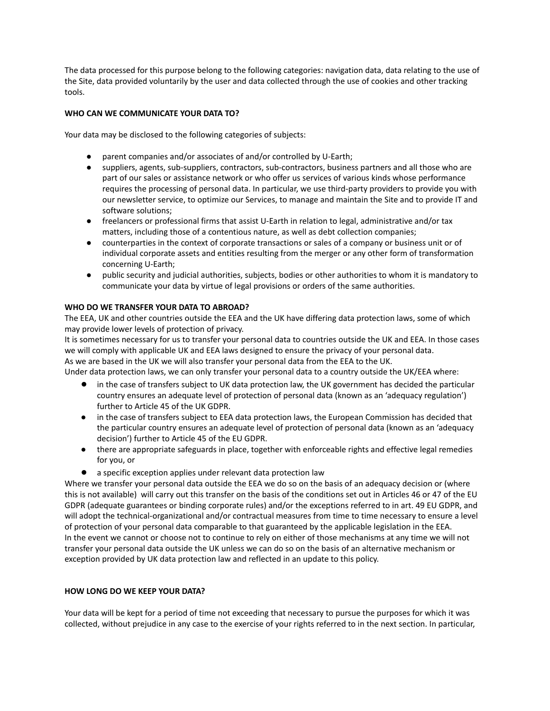The data processed for this purpose belong to the following categories: navigation data, data relating to the use of the Site, data provided voluntarily by the user and data collected through the use of cookies and other tracking tools.

## **WHO CAN WE COMMUNICATE YOUR DATA TO?**

Your data may be disclosed to the following categories of subjects:

- parent companies and/or associates of and/or controlled by U-Earth;
- suppliers, agents, sub-suppliers, contractors, sub-contractors, business partners and all those who are part of our sales or assistance network or who offer us services of various kinds whose performance requires the processing of personal data. In particular, we use third-party providers to provide you with our newsletter service, to optimize our Services, to manage and maintain the Site and to provide IT and software solutions;
- freelancers or professional firms that assist U-Earth in relation to legal, administrative and/or tax matters, including those of a contentious nature, as well as debt collection companies;
- counterparties in the context of corporate transactions or sales of a company or business unit or of individual corporate assets and entities resulting from the merger or any other form of transformation concerning U-Earth;
- public security and judicial authorities, subjects, bodies or other authorities to whom it is mandatory to communicate your data by virtue of legal provisions or orders of the same authorities.

# **WHO DO WE TRANSFER YOUR DATA TO ABROAD?**

The EEA, UK and other countries outside the EEA and the UK have differing data protection laws, some of which may provide lower levels of protection of privacy.

It is sometimes necessary for us to transfer your personal data to countries outside the UK and EEA. In those cases we will comply with applicable UK and EEA laws designed to ensure the privacy of your personal data. As we are based in the UK we will also transfer your personal data from the EEA to the UK.

Under data protection laws, we can only transfer your personal data to a country outside the UK/EEA where:

- in the case of transfers subject to UK data protection law, the UK government has decided the particular country ensures an adequate level of protection of personal data (known as an 'adequacy regulation') further to Article 45 of the UK GDPR.
- in the case of transfers subject to EEA data protection laws, the European Commission has decided that the particular country ensures an adequate level of protection of personal data (known as an 'adequacy decision') further to Article 45 of the EU GDPR.
- there are appropriate safeguards in place, together with enforceable rights and effective legal remedies for you, or
- a specific exception applies under relevant data protection law

Where we transfer your personal data outside the EEA we do so on the basis of an adequacy decision or (where this is not available) will carry out this transfer on the basis of the conditions set out in Articles 46 or 47 of the EU GDPR (adequate guarantees or binding corporate rules) and/or the exceptions referred to in art. 49 EU GDPR, and will adopt the technical-organizational and/or contractual measures from time to time necessary to ensure a level of protection of your personal data comparable to that guaranteed by the applicable legislation in the EEA. In the event we cannot or choose not to continue to rely on either of those mechanisms at any time we will not transfer your personal data outside the UK unless we can do so on the basis of an alternative mechanism or exception provided by UK data protection law and reflected in an update to this policy.

## **HOW LONG DO WE KEEP YOUR DATA?**

Your data will be kept for a period of time not exceeding that necessary to pursue the purposes for which it was collected, without prejudice in any case to the exercise of your rights referred to in the next section. In particular,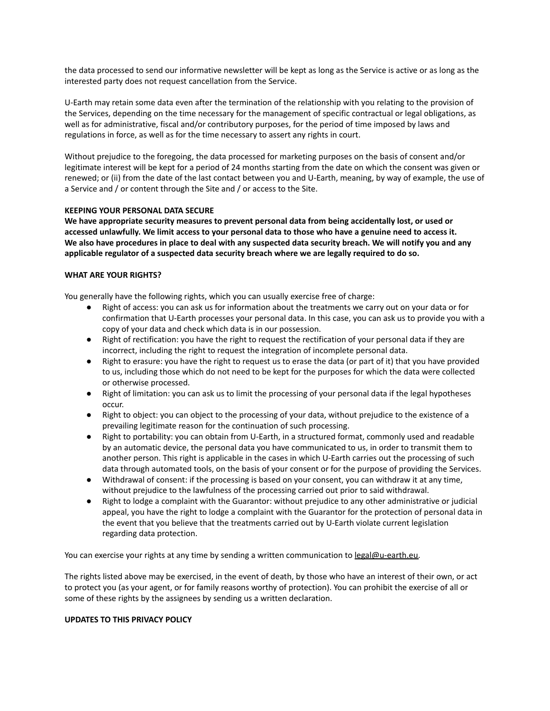the data processed to send our informative newsletter will be kept as long as the Service is active or as long as the interested party does not request cancellation from the Service.

U-Earth may retain some data even after the termination of the relationship with you relating to the provision of the Services, depending on the time necessary for the management of specific contractual or legal obligations, as well as for administrative, fiscal and/or contributory purposes, for the period of time imposed by laws and regulations in force, as well as for the time necessary to assert any rights in court.

Without prejudice to the foregoing, the data processed for marketing purposes on the basis of consent and/or legitimate interest will be kept for a period of 24 months starting from the date on which the consent was given or renewed; or (ii) from the date of the last contact between you and U-Earth, meaning, by way of example, the use of a Service and / or content through the Site and / or access to the Site.

#### **KEEPING YOUR PERSONAL DATA SECURE**

**We have appropriate security measures to prevent personal data from being accidentally lost, or used or** accessed unlawfully. We limit access to your personal data to those who have a genuine need to access it. We also have procedures in place to deal with any suspected data security breach. We will notify you and any **applicable regulator of a suspected data security breach where we are legally required to do so.**

#### **WHAT ARE YOUR RIGHTS?**

You generally have the following rights, which you can usually exercise free of charge:

- Right of access: you can ask us for information about the treatments we carry out on your data or for confirmation that U-Earth processes your personal data. In this case, you can ask us to provide you with a copy of your data and check which data is in our possession.
- Right of rectification: you have the right to request the rectification of your personal data if they are incorrect, including the right to request the integration of incomplete personal data.
- Right to erasure: you have the right to request us to erase the data (or part of it) that you have provided to us, including those which do not need to be kept for the purposes for which the data were collected or otherwise processed.
- Right of limitation: you can ask us to limit the processing of your personal data if the legal hypotheses occur.
- Right to object: you can object to the processing of your data, without prejudice to the existence of a prevailing legitimate reason for the continuation of such processing.
- Right to portability: you can obtain from U-Earth, in a structured format, commonly used and readable by an automatic device, the personal data you have communicated to us, in order to transmit them to another person. This right is applicable in the cases in which U-Earth carries out the processing of such data through automated tools, on the basis of your consent or for the purpose of providing the Services.
- Withdrawal of consent: if the processing is based on your consent, you can withdraw it at any time, without prejudice to the lawfulness of the processing carried out prior to said withdrawal.
- Right to lodge a complaint with the Guarantor: without prejudice to any other administrative or judicial appeal, you have the right to lodge a complaint with the Guarantor for the protection of personal data in the event that you believe that the treatments carried out by U-Earth violate current legislation regarding data protection.

You can exercise your rights at any time by sending a written communication to [legal@u-earth.eu.](mailto:legal@u-earth.eu)

The rights listed above may be exercised, in the event of death, by those who have an interest of their own, or act to protect you (as your agent, or for family reasons worthy of protection). You can prohibit the exercise of all or some of these rights by the assignees by sending us a written declaration.

## **UPDATES TO THIS PRIVACY POLICY**